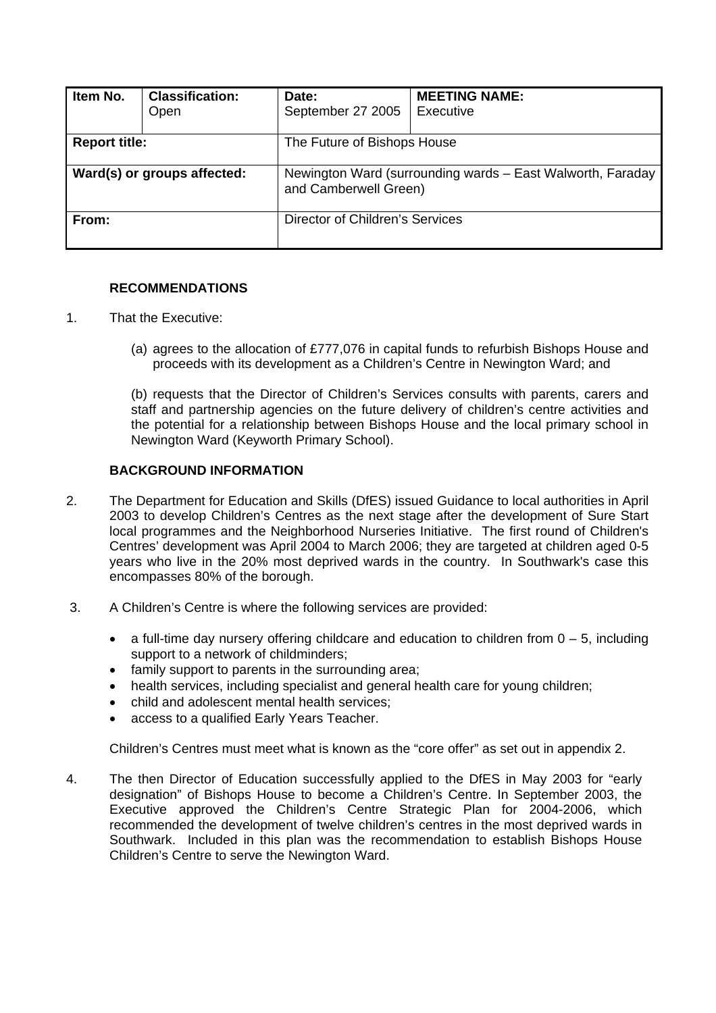| Item No.                    | <b>Classification:</b><br>Open | Date:<br>September 27 2005                                                          | <b>MEETING NAME:</b><br>Executive |  |
|-----------------------------|--------------------------------|-------------------------------------------------------------------------------------|-----------------------------------|--|
| <b>Report title:</b>        |                                | The Future of Bishops House                                                         |                                   |  |
| Ward(s) or groups affected: |                                | Newington Ward (surrounding wards - East Walworth, Faraday<br>and Camberwell Green) |                                   |  |
| From:                       |                                | Director of Children's Services                                                     |                                   |  |

# **RECOMMENDATIONS**

- 1. That the Executive:
	- (a) agrees to the allocation of £777,076 in capital funds to refurbish Bishops House and proceeds with its development as a Children's Centre in Newington Ward; and

(b) requests that the Director of Children's Services consults with parents, carers and staff and partnership agencies on the future delivery of children's centre activities and the potential for a relationship between Bishops House and the local primary school in Newington Ward (Keyworth Primary School).

#### **BACKGROUND INFORMATION**

- 2. The Department for Education and Skills (DfES) issued Guidance to local authorities in April 2003 to develop Children's Centres as the next stage after the development of Sure Start local programmes and the Neighborhood Nurseries Initiative. The first round of Children's Centres' development was April 2004 to March 2006; they are targeted at children aged 0-5 years who live in the 20% most deprived wards in the country. In Southwark's case this encompasses 80% of the borough.
- 3. A Children's Centre is where the following services are provided:
	- a full-time day nursery offering childcare and education to children from  $0 5$ , including support to a network of childminders;
	- family support to parents in the surrounding area;
	- health services, including specialist and general health care for young children;
	- child and adolescent mental health services;
	- access to a qualified Early Years Teacher.

Children's Centres must meet what is known as the "core offer" as set out in appendix 2.

4. The then Director of Education successfully applied to the DfES in May 2003 for "early designation" of Bishops House to become a Children's Centre. In September 2003, the Executive approved the Children's Centre Strategic Plan for 2004-2006, which recommended the development of twelve children's centres in the most deprived wards in Southwark. Included in this plan was the recommendation to establish Bishops House Children's Centre to serve the Newington Ward.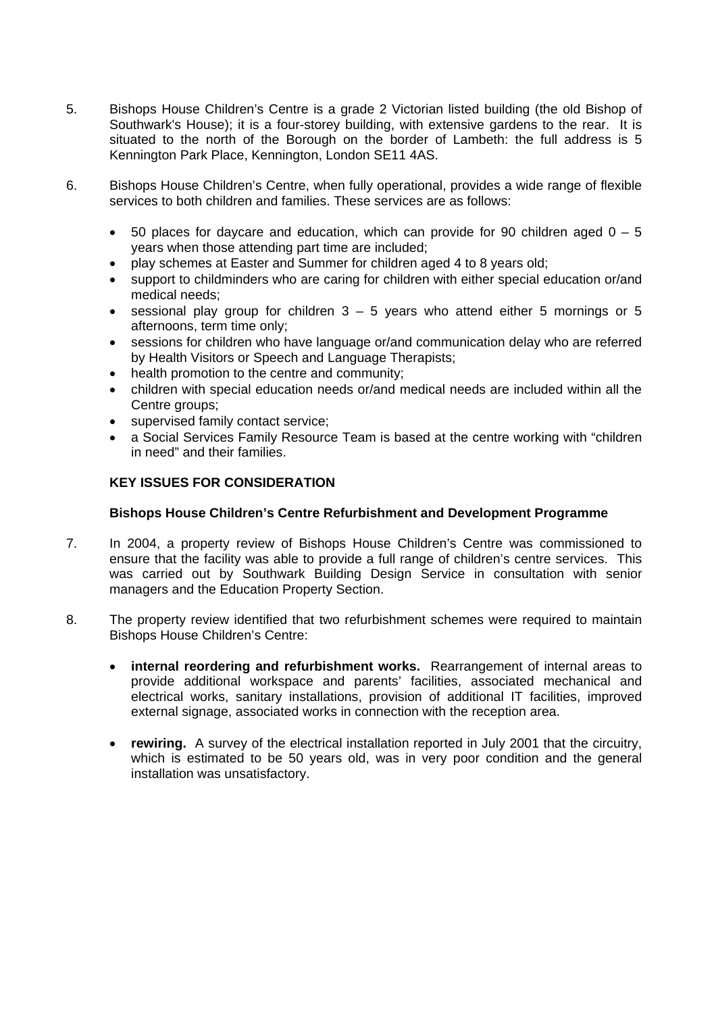- 5. Bishops House Children's Centre is a grade 2 Victorian listed building (the old Bishop of Southwark's House); it is a four-storey building, with extensive gardens to the rear. It is situated to the north of the Borough on the border of Lambeth: the full address is 5 Kennington Park Place, Kennington, London SE11 4AS.
- 6. Bishops House Children's Centre, when fully operational, provides a wide range of flexible services to both children and families. These services are as follows:
	- 50 places for daycare and education, which can provide for 90 children aged  $0 5$ years when those attending part time are included;
	- play schemes at Easter and Summer for children aged 4 to 8 years old;
	- support to childminders who are caring for children with either special education or/and medical needs;
	- sessional play group for children  $3 5$  years who attend either 5 mornings or 5 afternoons, term time only;
	- sessions for children who have language or/and communication delay who are referred by Health Visitors or Speech and Language Therapists;
	- health promotion to the centre and community;
	- children with special education needs or/and medical needs are included within all the Centre groups;
	- supervised family contact service;
	- a Social Services Family Resource Team is based at the centre working with "children in need" and their families.

# **KEY ISSUES FOR CONSIDERATION**

#### **Bishops House Children's Centre Refurbishment and Development Programme**

- 7. In 2004, a property review of Bishops House Children's Centre was commissioned to ensure that the facility was able to provide a full range of children's centre services. This was carried out by Southwark Building Design Service in consultation with senior managers and the Education Property Section.
- 8. The property review identified that two refurbishment schemes were required to maintain Bishops House Children's Centre:
	- **internal reordering and refurbishment works.** Rearrangement of internal areas to provide additional workspace and parents' facilities, associated mechanical and electrical works, sanitary installations, provision of additional IT facilities, improved external signage, associated works in connection with the reception area.
	- **rewiring.** A survey of the electrical installation reported in July 2001 that the circuitry, which is estimated to be 50 years old, was in very poor condition and the general installation was unsatisfactory.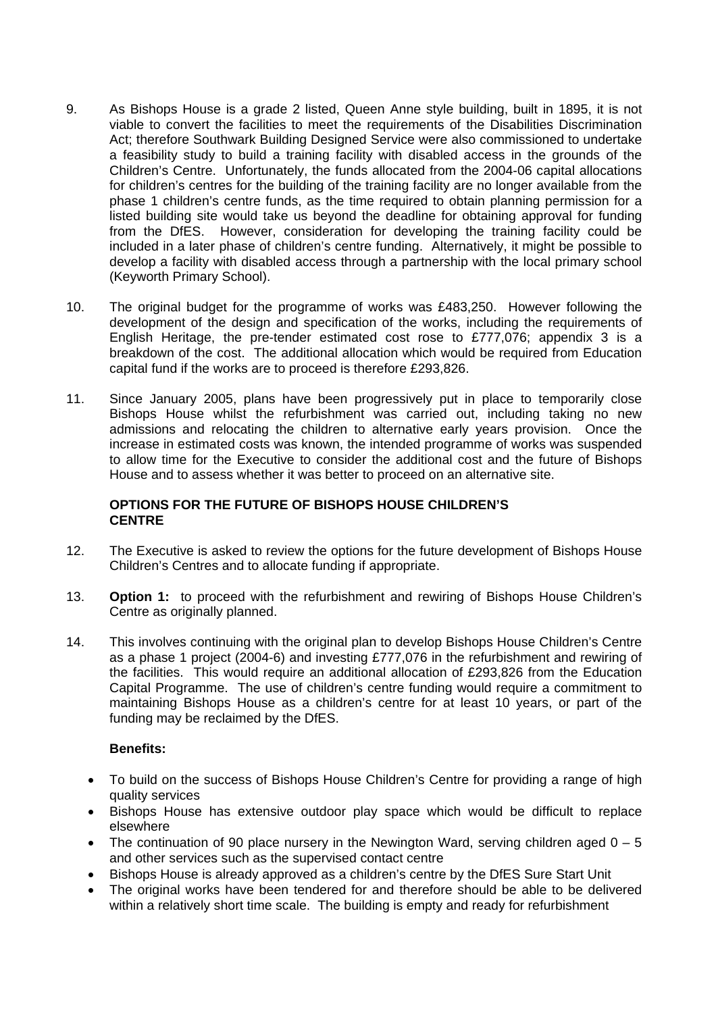- 9. As Bishops House is a grade 2 listed, Queen Anne style building, built in 1895, it is not viable to convert the facilities to meet the requirements of the Disabilities Discrimination Act; therefore Southwark Building Designed Service were also commissioned to undertake a feasibility study to build a training facility with disabled access in the grounds of the Children's Centre. Unfortunately, the funds allocated from the 2004-06 capital allocations for children's centres for the building of the training facility are no longer available from the phase 1 children's centre funds, as the time required to obtain planning permission for a listed building site would take us beyond the deadline for obtaining approval for funding from the DfES. However, consideration for developing the training facility could be included in a later phase of children's centre funding. Alternatively, it might be possible to develop a facility with disabled access through a partnership with the local primary school (Keyworth Primary School).
- 10. The original budget for the programme of works was £483,250. However following the development of the design and specification of the works, including the requirements of English Heritage, the pre-tender estimated cost rose to £777,076; appendix 3 is a breakdown of the cost. The additional allocation which would be required from Education capital fund if the works are to proceed is therefore £293,826.
- 11. Since January 2005, plans have been progressively put in place to temporarily close Bishops House whilst the refurbishment was carried out, including taking no new admissions and relocating the children to alternative early years provision. Once the increase in estimated costs was known, the intended programme of works was suspended to allow time for the Executive to consider the additional cost and the future of Bishops House and to assess whether it was better to proceed on an alternative site.

#### **OPTIONS FOR THE FUTURE OF BISHOPS HOUSE CHILDREN'S CENTRE**

- 12. The Executive is asked to review the options for the future development of Bishops House Children's Centres and to allocate funding if appropriate.
- 13. **Option 1:** to proceed with the refurbishment and rewiring of Bishops House Children's Centre as originally planned.
- 14. This involves continuing with the original plan to develop Bishops House Children's Centre as a phase 1 project (2004-6) and investing £777,076 in the refurbishment and rewiring of the facilities. This would require an additional allocation of £293,826 from the Education Capital Programme. The use of children's centre funding would require a commitment to maintaining Bishops House as a children's centre for at least 10 years, or part of the funding may be reclaimed by the DfES.

#### **Benefits:**

- To build on the success of Bishops House Children's Centre for providing a range of high quality services
- Bishops House has extensive outdoor play space which would be difficult to replace elsewhere
- The continuation of 90 place nursery in the Newington Ward, serving children aged  $0 5$ and other services such as the supervised contact centre
- Bishops House is already approved as a children's centre by the DfES Sure Start Unit
- The original works have been tendered for and therefore should be able to be delivered within a relatively short time scale. The building is empty and ready for refurbishment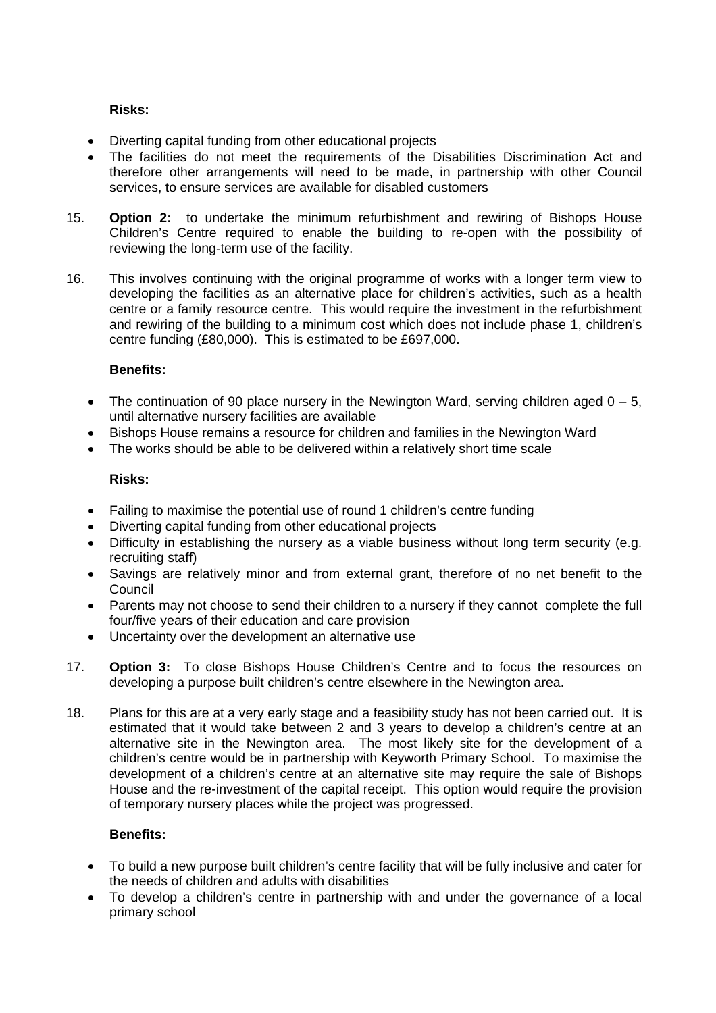# **Risks:**

- Diverting capital funding from other educational projects
- The facilities do not meet the requirements of the Disabilities Discrimination Act and therefore other arrangements will need to be made, in partnership with other Council services, to ensure services are available for disabled customers
- 15. **Option 2:** to undertake the minimum refurbishment and rewiring of Bishops House Children's Centre required to enable the building to re-open with the possibility of reviewing the long-term use of the facility.
- 16. This involves continuing with the original programme of works with a longer term view to developing the facilities as an alternative place for children's activities, such as a health centre or a family resource centre. This would require the investment in the refurbishment and rewiring of the building to a minimum cost which does not include phase 1, children's centre funding (£80,000). This is estimated to be £697,000.

# **Benefits:**

- The continuation of 90 place nursery in the Newington Ward, serving children aged  $0 5$ , until alternative nursery facilities are available
- Bishops House remains a resource for children and families in the Newington Ward
- The works should be able to be delivered within a relatively short time scale

# **Risks:**

- Failing to maximise the potential use of round 1 children's centre funding
- Diverting capital funding from other educational projects
- Difficulty in establishing the nursery as a viable business without long term security (e.g. recruiting staff)
- Savings are relatively minor and from external grant, therefore of no net benefit to the Council
- Parents may not choose to send their children to a nursery if they cannot complete the full four/five years of their education and care provision
- Uncertainty over the development an alternative use
- 17. **Option 3:** To close Bishops House Children's Centre and to focus the resources on developing a purpose built children's centre elsewhere in the Newington area.
- 18. Plans for this are at a very early stage and a feasibility study has not been carried out. It is estimated that it would take between 2 and 3 years to develop a children's centre at an alternative site in the Newington area. The most likely site for the development of a children's centre would be in partnership with Keyworth Primary School. To maximise the development of a children's centre at an alternative site may require the sale of Bishops House and the re-investment of the capital receipt. This option would require the provision of temporary nursery places while the project was progressed.

#### **Benefits:**

- To build a new purpose built children's centre facility that will be fully inclusive and cater for the needs of children and adults with disabilities
- To develop a children's centre in partnership with and under the governance of a local primary school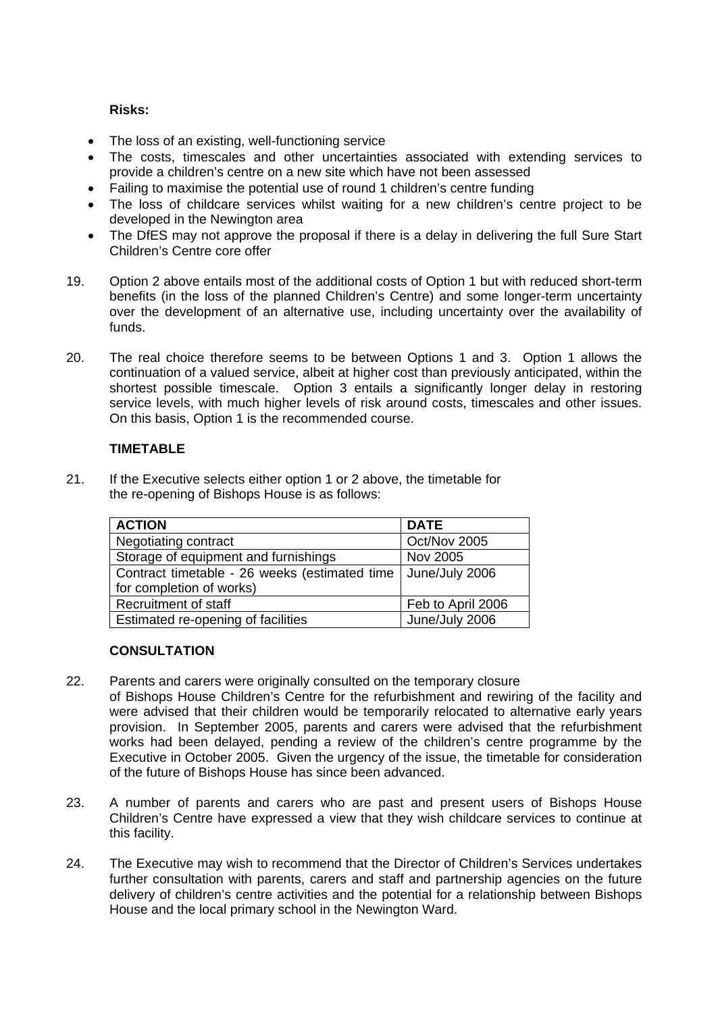## **Risks:**

- The loss of an existing, well-functioning service
- The costs, timescales and other uncertainties associated with extending services to provide a children's centre on a new site which have not been assessed
- Failing to maximise the potential use of round 1 children's centre funding
- The loss of childcare services whilst waiting for a new children's centre project to be developed in the Newington area
- The DfES may not approve the proposal if there is a delay in delivering the full Sure Start Children's Centre core offer
- 19. Option 2 above entails most of the additional costs of Option 1 but with reduced short-term benefits (in the loss of the planned Children's Centre) and some longer-term uncertainty over the development of an alternative use, including uncertainty over the availability of funds.
- 20. The real choice therefore seems to be between Options 1 and 3. Option 1 allows the continuation of a valued service, albeit at higher cost than previously anticipated, within the shortest possible timescale. Option 3 entails a significantly longer delay in restoring service levels, with much higher levels of risk around costs, timescales and other issues. On this basis, Option 1 is the recommended course.

#### **TIMETABLE**

21. If the Executive selects either option 1 or 2 above, the timetable for the re-opening of Bishops House is as follows:

| <b>ACTION</b>                                 | <b>DATE</b>       |  |
|-----------------------------------------------|-------------------|--|
| Negotiating contract                          | Oct/Nov 2005      |  |
| Storage of equipment and furnishings          | Nov 2005          |  |
| Contract timetable - 26 weeks (estimated time | June/July 2006    |  |
| for completion of works)                      |                   |  |
| <b>Recruitment of staff</b>                   | Feb to April 2006 |  |
| Estimated re-opening of facilities            | June/July 2006    |  |

#### **CONSULTATION**

- 22. Parents and carers were originally consulted on the temporary closure of Bishops House Children's Centre for the refurbishment and rewiring of the facility and were advised that their children would be temporarily relocated to alternative early years provision. In September 2005, parents and carers were advised that the refurbishment works had been delayed, pending a review of the children's centre programme by the Executive in October 2005. Given the urgency of the issue, the timetable for consideration of the future of Bishops House has since been advanced.
- 23. A number of parents and carers who are past and present users of Bishops House Children's Centre have expressed a view that they wish childcare services to continue at this facility.
- 24. The Executive may wish to recommend that the Director of Children's Services undertakes further consultation with parents, carers and staff and partnership agencies on the future delivery of children's centre activities and the potential for a relationship between Bishops House and the local primary school in the Newington Ward.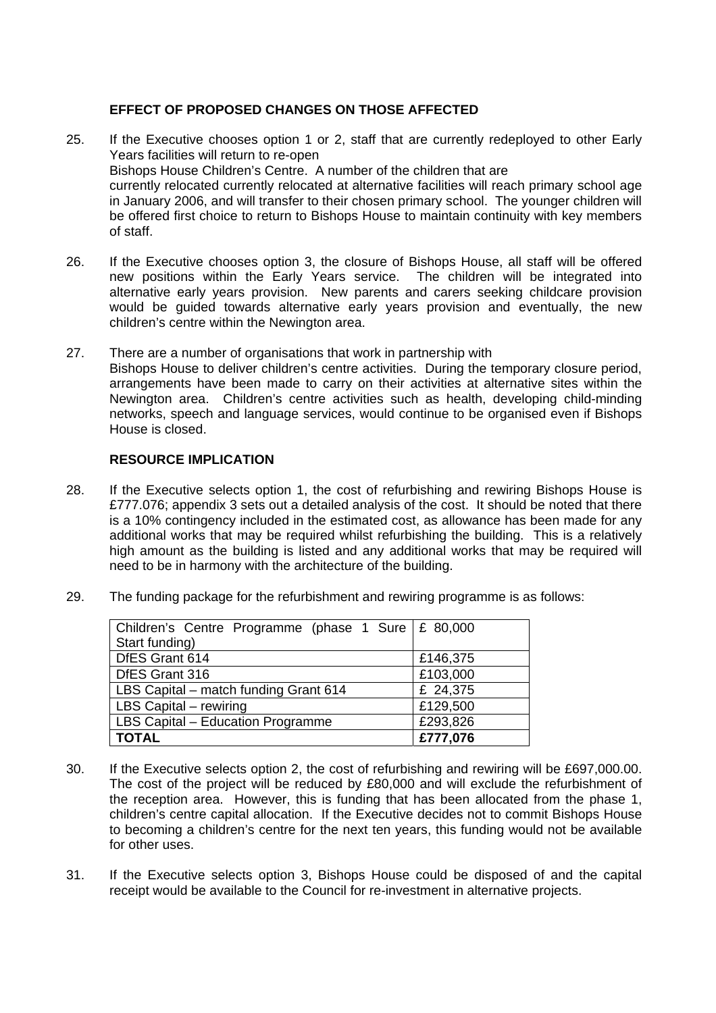# **EFFECT OF PROPOSED CHANGES ON THOSE AFFECTED**

- 25. If the Executive chooses option 1 or 2, staff that are currently redeployed to other Early Years facilities will return to re-open Bishops House Children's Centre. A number of the children that are currently relocated currently relocated at alternative facilities will reach primary school age in January 2006, and will transfer to their chosen primary school. The younger children will be offered first choice to return to Bishops House to maintain continuity with key members of staff.
- 26. If the Executive chooses option 3, the closure of Bishops House, all staff will be offered new positions within the Early Years service. The children will be integrated into alternative early years provision. New parents and carers seeking childcare provision would be guided towards alternative early years provision and eventually, the new children's centre within the Newington area.
- 27. There are a number of organisations that work in partnership with Bishops House to deliver children's centre activities. During the temporary closure period, arrangements have been made to carry on their activities at alternative sites within the Newington area. Children's centre activities such as health, developing child-minding networks, speech and language services, would continue to be organised even if Bishops House is closed.

#### **RESOURCE IMPLICATION**

- 28. If the Executive selects option 1, the cost of refurbishing and rewiring Bishops House is £777.076; appendix 3 sets out a detailed analysis of the cost. It should be noted that there is a 10% contingency included in the estimated cost, as allowance has been made for any additional works that may be required whilst refurbishing the building. This is a relatively high amount as the building is listed and any additional works that may be required will need to be in harmony with the architecture of the building.
- 29. The funding package for the refurbishment and rewiring programme is as follows:

| Children's Centre Programme (phase 1 Sure $E$ 80,000 |          |
|------------------------------------------------------|----------|
| Start funding)                                       |          |
| DfES Grant 614                                       | £146,375 |
| DfES Grant 316                                       | £103,000 |
| LBS Capital – match funding Grant 614                | £ 24,375 |
| LBS Capital - rewiring                               | £129,500 |
| LBS Capital - Education Programme                    | £293,826 |
| <b>TOTAL</b>                                         | £777,076 |

- 30. If the Executive selects option 2, the cost of refurbishing and rewiring will be £697,000.00. The cost of the project will be reduced by £80,000 and will exclude the refurbishment of the reception area. However, this is funding that has been allocated from the phase 1, children's centre capital allocation. If the Executive decides not to commit Bishops House to becoming a children's centre for the next ten years, this funding would not be available for other uses.
- 31. If the Executive selects option 3, Bishops House could be disposed of and the capital receipt would be available to the Council for re-investment in alternative projects.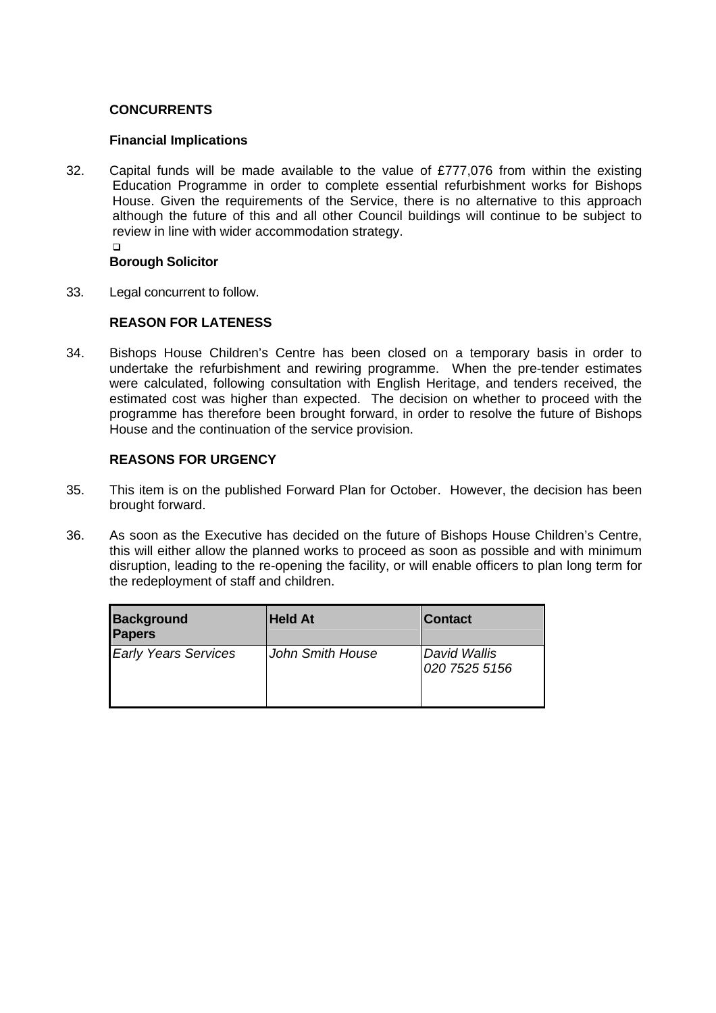# **CONCURRENTS**

#### **Financial Implications**

32. Capital funds will be made available to the value of £777,076 from within the existing Education Programme in order to complete essential refurbishment works for Bishops House. Given the requirements of the Service, there is no alternative to this approach although the future of this and all other Council buildings will continue to be subject to review in line with wider accommodation strategy.  $\Box$ 

#### **Borough Solicitor**

33. Legal concurrent to follow.

#### **REASON FOR LATENESS**

34. Bishops House Children's Centre has been closed on a temporary basis in order to undertake the refurbishment and rewiring programme. When the pre-tender estimates were calculated, following consultation with English Heritage, and tenders received, the estimated cost was higher than expected. The decision on whether to proceed with the programme has therefore been brought forward, in order to resolve the future of Bishops House and the continuation of the service provision.

# **REASONS FOR URGENCY**

- 35. This item is on the published Forward Plan for October. However, the decision has been brought forward.
- 36. As soon as the Executive has decided on the future of Bishops House Children's Centre, this will either allow the planned works to proceed as soon as possible and with minimum disruption, leading to the re-opening the facility, or will enable officers to plan long term for the redeployment of staff and children.

| <b>Background</b><br><b>Papers</b> | <b>Held At</b>   | <b>Contact</b>                |
|------------------------------------|------------------|-------------------------------|
| <b>Early Years Services</b>        | John Smith House | David Wallis<br>020 7525 5156 |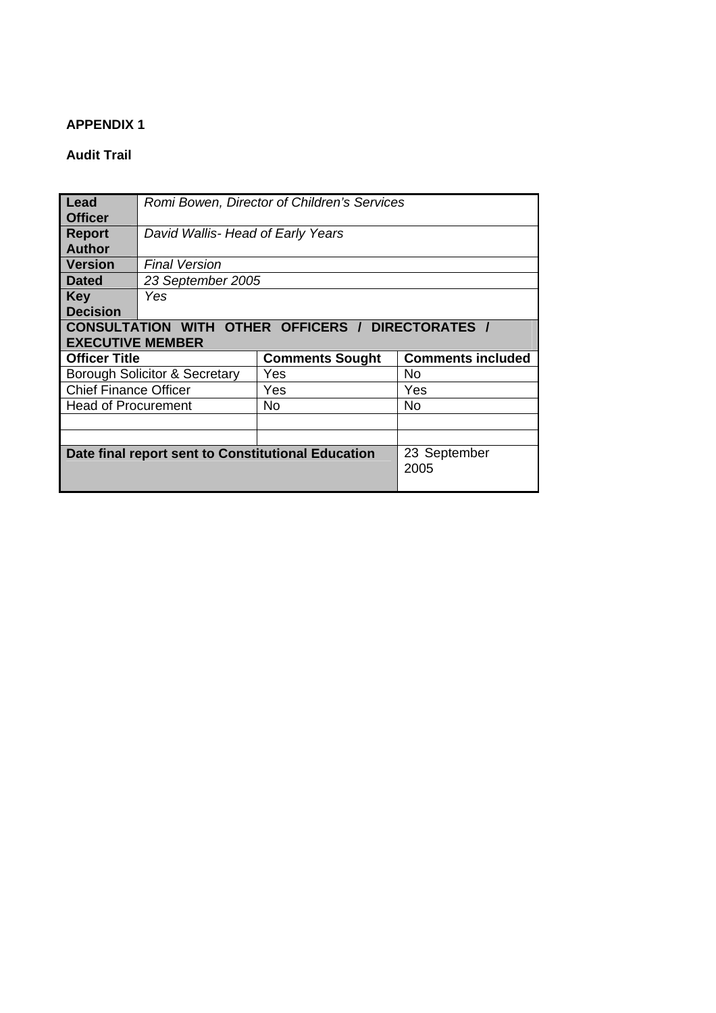#### **APPENDIX 1**

# **Audit Trail**

| Lead<br><b>Officer</b>                             | Romi Bowen, Director of Children's Services |     |                          |  |  |
|----------------------------------------------------|---------------------------------------------|-----|--------------------------|--|--|
| <b>Report</b>                                      | David Wallis- Head of Early Years           |     |                          |  |  |
| <b>Author</b>                                      |                                             |     |                          |  |  |
| <b>Version</b>                                     | <b>Final Version</b>                        |     |                          |  |  |
| <b>Dated</b>                                       | 23 September 2005                           |     |                          |  |  |
| <b>Key</b>                                         | Yes                                         |     |                          |  |  |
| <b>Decision</b>                                    |                                             |     |                          |  |  |
| CONSULTATION WITH OTHER OFFICERS / DIRECTORATES /  |                                             |     |                          |  |  |
| <b>EXECUTIVE MEMBER</b>                            |                                             |     |                          |  |  |
| <b>Officer Title</b><br><b>Comments Sought</b>     |                                             |     | <b>Comments included</b> |  |  |
| Borough Solicitor & Secretary                      |                                             | Yes | No.                      |  |  |
| <b>Chief Finance Officer</b>                       |                                             | Yes | Yes                      |  |  |
| <b>Head of Procurement</b>                         |                                             | No. | No                       |  |  |
|                                                    |                                             |     |                          |  |  |
|                                                    |                                             |     |                          |  |  |
| Date final report sent to Constitutional Education |                                             |     | 23 September<br>2005     |  |  |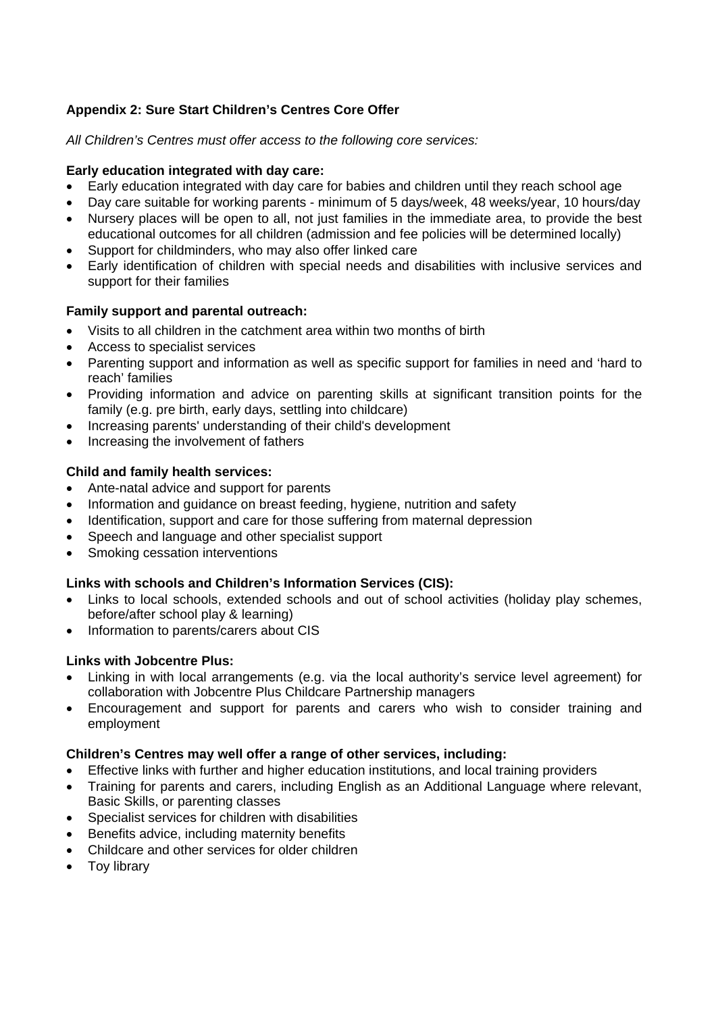# **Appendix 2: Sure Start Children's Centres Core Offer**

*All Children's Centres must offer access to the following core services:* 

# **Early education integrated with day care:**

- Early education integrated with day care for babies and children until they reach school age
- Day care suitable for working parents minimum of 5 days/week, 48 weeks/year, 10 hours/day
- Nursery places will be open to all, not just families in the immediate area, to provide the best educational outcomes for all children (admission and fee policies will be determined locally)
- Support for childminders, who may also offer linked care
- Early identification of children with special needs and disabilities with inclusive services and support for their families

# **Family support and parental outreach:**

- Visits to all children in the catchment area within two months of birth
- Access to specialist services
- Parenting support and information as well as specific support for families in need and 'hard to reach' families
- Providing information and advice on parenting skills at significant transition points for the family (e.g. pre birth, early days, settling into childcare)
- Increasing parents' understanding of their child's development
- Increasing the involvement of fathers

# **Child and family health services:**

- Ante-natal advice and support for parents
- Information and guidance on breast feeding, hygiene, nutrition and safety
- Identification, support and care for those suffering from maternal depression
- Speech and language and other specialist support
- Smoking cessation interventions

# **Links with schools and Children's Information Services (CIS):**

- Links to local schools, extended schools and out of school activities (holiday play schemes, before/after school play & learning)
- Information to parents/carers about CIS

# **Links with Jobcentre Plus:**

- Linking in with local arrangements (e.g. via the local authority's service level agreement) for collaboration with Jobcentre Plus Childcare Partnership managers
- Encouragement and support for parents and carers who wish to consider training and employment

#### **Children's Centres may well offer a range of other services, including:**

- Effective links with further and higher education institutions, and local training providers
- Training for parents and carers, including English as an Additional Language where relevant, Basic Skills, or parenting classes
- Specialist services for children with disabilities
- Benefits advice, including maternity benefits
- Childcare and other services for older children
- Toy library